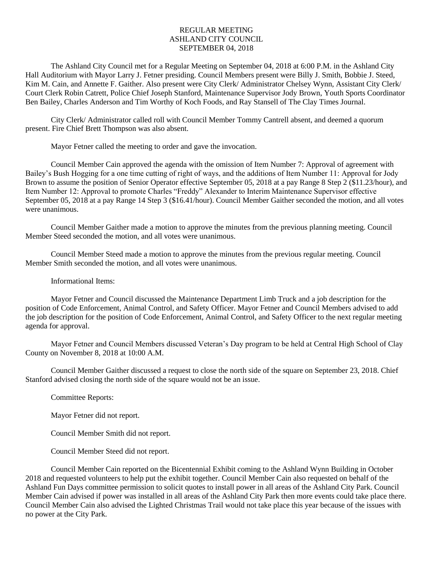## REGULAR MEETING ASHLAND CITY COUNCIL SEPTEMBER 04, 2018

The Ashland City Council met for a Regular Meeting on September 04, 2018 at 6:00 P.M. in the Ashland City Hall Auditorium with Mayor Larry J. Fetner presiding. Council Members present were Billy J. Smith, Bobbie J. Steed, Kim M. Cain, and Annette F. Gaither. Also present were City Clerk/ Administrator Chelsey Wynn, Assistant City Clerk/ Court Clerk Robin Catrett, Police Chief Joseph Stanford, Maintenance Supervisor Jody Brown, Youth Sports Coordinator Ben Bailey, Charles Anderson and Tim Worthy of Koch Foods, and Ray Stansell of The Clay Times Journal.

City Clerk/ Administrator called roll with Council Member Tommy Cantrell absent, and deemed a quorum present. Fire Chief Brett Thompson was also absent.

Mayor Fetner called the meeting to order and gave the invocation.

Council Member Cain approved the agenda with the omission of Item Number 7: Approval of agreement with Bailey's Bush Hogging for a one time cutting of right of ways, and the additions of Item Number 11: Approval for Jody Brown to assume the position of Senior Operator effective September 05, 2018 at a pay Range 8 Step 2 (\$11.23/hour), and Item Number 12: Approval to promote Charles "Freddy" Alexander to Interim Maintenance Supervisor effective September 05, 2018 at a pay Range 14 Step 3 (\$16.41/hour). Council Member Gaither seconded the motion, and all votes were unanimous.

Council Member Gaither made a motion to approve the minutes from the previous planning meeting. Council Member Steed seconded the motion, and all votes were unanimous.

Council Member Steed made a motion to approve the minutes from the previous regular meeting. Council Member Smith seconded the motion, and all votes were unanimous.

Informational Items:

Mayor Fetner and Council discussed the Maintenance Department Limb Truck and a job description for the position of Code Enforcement, Animal Control, and Safety Officer. Mayor Fetner and Council Members advised to add the job description for the position of Code Enforcement, Animal Control, and Safety Officer to the next regular meeting agenda for approval.

Mayor Fetner and Council Members discussed Veteran's Day program to be held at Central High School of Clay County on November 8, 2018 at 10:00 A.M.

Council Member Gaither discussed a request to close the north side of the square on September 23, 2018. Chief Stanford advised closing the north side of the square would not be an issue.

Committee Reports:

Mayor Fetner did not report.

Council Member Smith did not report.

Council Member Steed did not report.

Council Member Cain reported on the Bicentennial Exhibit coming to the Ashland Wynn Building in October 2018 and requested volunteers to help put the exhibit together. Council Member Cain also requested on behalf of the Ashland Fun Days committee permission to solicit quotes to install power in all areas of the Ashland City Park. Council Member Cain advised if power was installed in all areas of the Ashland City Park then more events could take place there. Council Member Cain also advised the Lighted Christmas Trail would not take place this year because of the issues with no power at the City Park.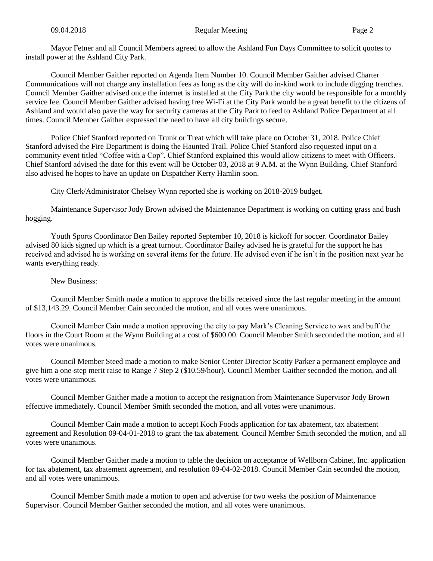Mayor Fetner and all Council Members agreed to allow the Ashland Fun Days Committee to solicit quotes to install power at the Ashland City Park.

Council Member Gaither reported on Agenda Item Number 10. Council Member Gaither advised Charter Communications will not charge any installation fees as long as the city will do in-kind work to include digging trenches. Council Member Gaither advised once the internet is installed at the City Park the city would be responsible for a monthly service fee. Council Member Gaither advised having free Wi-Fi at the City Park would be a great benefit to the citizens of Ashland and would also pave the way for security cameras at the City Park to feed to Ashland Police Department at all times. Council Member Gaither expressed the need to have all city buildings secure.

Police Chief Stanford reported on Trunk or Treat which will take place on October 31, 2018. Police Chief Stanford advised the Fire Department is doing the Haunted Trail. Police Chief Stanford also requested input on a community event titled "Coffee with a Cop". Chief Stanford explained this would allow citizens to meet with Officers. Chief Stanford advised the date for this event will be October 03, 2018 at 9 A.M. at the Wynn Building. Chief Stanford also advised he hopes to have an update on Dispatcher Kerry Hamlin soon.

City Clerk/Administrator Chelsey Wynn reported she is working on 2018-2019 budget.

Maintenance Supervisor Jody Brown advised the Maintenance Department is working on cutting grass and bush hogging.

Youth Sports Coordinator Ben Bailey reported September 10, 2018 is kickoff for soccer. Coordinator Bailey advised 80 kids signed up which is a great turnout. Coordinator Bailey advised he is grateful for the support he has received and advised he is working on several items for the future. He advised even if he isn't in the position next year he wants everything ready.

## New Business:

Council Member Smith made a motion to approve the bills received since the last regular meeting in the amount of \$13,143.29. Council Member Cain seconded the motion, and all votes were unanimous.

Council Member Cain made a motion approving the city to pay Mark's Cleaning Service to wax and buff the floors in the Court Room at the Wynn Building at a cost of \$600.00. Council Member Smith seconded the motion, and all votes were unanimous.

Council Member Steed made a motion to make Senior Center Director Scotty Parker a permanent employee and give him a one-step merit raise to Range 7 Step 2 (\$10.59/hour). Council Member Gaither seconded the motion, and all votes were unanimous.

Council Member Gaither made a motion to accept the resignation from Maintenance Supervisor Jody Brown effective immediately. Council Member Smith seconded the motion, and all votes were unanimous.

Council Member Cain made a motion to accept Koch Foods application for tax abatement, tax abatement agreement and Resolution 09-04-01-2018 to grant the tax abatement. Council Member Smith seconded the motion, and all votes were unanimous.

Council Member Gaither made a motion to table the decision on acceptance of Wellborn Cabinet, Inc. application for tax abatement, tax abatement agreement, and resolution 09-04-02-2018. Council Member Cain seconded the motion, and all votes were unanimous.

Council Member Smith made a motion to open and advertise for two weeks the position of Maintenance Supervisor. Council Member Gaither seconded the motion, and all votes were unanimous.